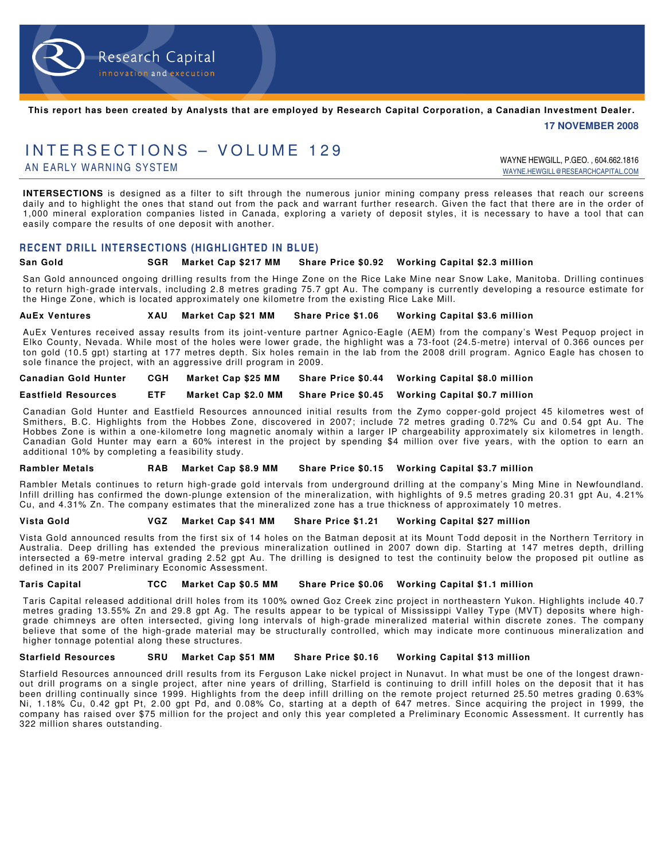

**This report has been created by Analysts that are employed by Research Capital Corporation, a Canadian Investment Dealer.** 

 **17 NOVEMBER 2008** 

# INTERSECTIONS - VOLUME 129

AN EARLY WARNING SYSTEM WAY ARE SERVED ON THE RESEARCH WAY ARE HEWGILL, P.GEO. , 604.662.1816 WAYNE.HEWGILL@RESEARCHCAPITAL.COM

**INTERSECTIONS** is designed as a filter to sift through the numerous junior mining company press releases that reach our screens daily and to highlight the ones that stand out from the pack and warrant further research. Given the fact that there are in the order of 1,000 mineral exploration companies listed in Canada, exploring a variety of deposit styles, it is necessary to have a tool that can easily compare the results of one deposit with another.

#### **RECENT DRILL INTERSECTIONS (HIGHLIGHTED IN BLUE)**

#### **San Gold SGR Market Cap \$217 MM Share Price \$0.92 Working Capital \$2.3 million**

San Gold announced ongoing drilling results from the Hinge Zone on the Rice Lake Mine near Snow Lake, Manitoba. Drilling continues to return high-grade intervals, including 2.8 metres grading 75.7 gpt Au. The company is currently developing a resource estimate for the Hinge Zone, which is located approximately one kilometre from the existing Rice Lake Mill.

**AuEx Ventures XAU Market Cap \$21 MM Share Price \$1.06 Working Capital \$3.6 million** 

AuEx Ventures received assay results from its joint-venture partner Agnico-Eagle (AEM) from the company's West Pequop project in Elko County, Nevada. While most of the holes were lower grade, the highlight was a 73-foot (24.5-metre) interval of 0.366 ounces per ton gold (10.5 gpt) starting at 177 metres depth. Six holes remain in the lab from the 2008 drill program. Agnico Eagle has chosen to sole finance the project, with an aggressive drill program in 2009.

**Canadian Gold Hunter CGH Market Cap \$25 MM Share Price \$0.44 Working Capital \$8.0 million** 

**Eastfield Resources ETF Market Cap \$2.0 MM Share Price \$0.45 Working Capital \$0.7 million** 

Canadian Gold Hunter and Eastfield Resources announced initial results from the Zymo copper-gold project 45 kilometres west of Smithers, B.C. Highlights from the Hobbes Zone, discovered in 2007; include 72 metres grading 0.72% Cu and 0.54 gpt Au. The Hobbes Zone is within a one-kilometre long magnetic anomaly within a larger IP chargeability approximately six kilometres in length. Canadian Gold Hunter may earn a 60% interest in the project by spending \$4 million over five years, with the option to earn an additional 10% by completing a feasibility study.

**Rambler Metals RAB Market Cap \$8.9 MM Share Price \$0.15 Working Capital \$3.7 million** 

Rambler Metals continues to return high-grade gold intervals from underground drilling at the company's Ming Mine in Newfoundland. Infill drilling has confirmed the down-plunge extension of the mineralization, with highlights of 9.5 metres grading 20.31 gpt Au, 4.21% Cu, and 4.31% Zn. The company estimates that the mineralized zone has a true thickness of approximately 10 metres.

**Vista Gold VGZ Market Cap \$41 MM Share Price \$1.21 Working Capital \$27 million** 

Vista Gold announced results from the first six of 14 holes on the Batman deposit at its Mount Todd deposit in the Northern Territory in Australia. Deep drilling has extended the previous mineralization outlined in 2007 down dip. Starting at 147 metres depth, drilling intersected a 69-metre interval grading 2.52 gpt Au. The drilling is designed to test the continuity below the proposed pit outline as defined in its 2007 Preliminary Economic Assessment.

#### **Taris Capital TCC Market Cap \$0.5 MM Share Price \$0.06 Working Capital \$1.1 million**

Taris Capital released additional drill holes from its 100% owned Goz Creek zinc project in northeastern Yukon. Highlights include 40.7 metres grading 13.55% Zn and 29.8 gpt Ag. The results appear to be typical of Mississippi Valley Type (MVT) deposits where highgrade chimneys are often intersected, giving long intervals of high-grade mineralized material within discrete zones. The company believe that some of the high-grade material may be structurally controlled, which may indicate more continuous mineralization and higher tonnage potential along these structures.

#### **Starfield Resources SRU Market Cap \$51 MM Share Price \$0.16 Working Capital \$13 million**

Starfield Resources announced drill results from its Ferguson Lake nickel project in Nunavut. In what must be one of the longest drawnout drill programs on a single project, after nine years of drilling, Starfield is continuing to drill infill holes on the deposit that it has been drilling continually since 1999. Highlights from the deep infill drilling on the remote project returned 25.50 metres grading 0.63% Ni, 1.18% Cu, 0.42 gpt Pt, 2.00 gpt Pd, and 0.08% Co, starting at a depth of 647 metres. Since acquiring the project in 1999, the company has raised over \$75 million for the project and only this year completed a Preliminary Economic Assessment. It currently has 322 million shares outstanding.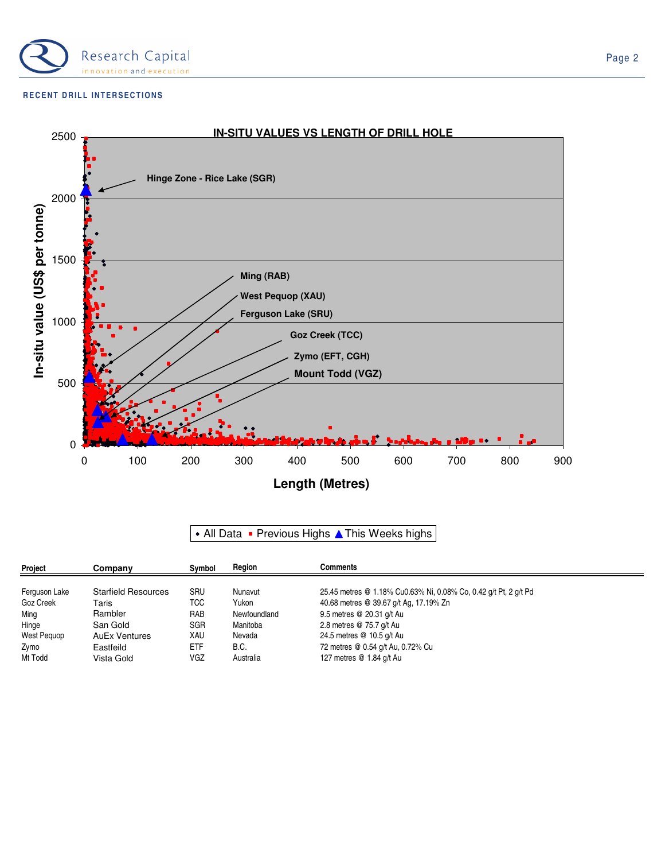

#### **RECENT DRILL INTERSECTIONS**



## • All Data • Previous Highs A This Weeks highs

| Project       | Company                    | Symbol     | Region       | Comments                                                         |  |
|---------------|----------------------------|------------|--------------|------------------------------------------------------------------|--|
| Ferguson Lake | <b>Starfield Resources</b> | SRU        | Nunavut      | 25.45 metres @ 1.18% Cu0.63% Ni, 0.08% Co, 0.42 g/t Pt, 2 g/t Pd |  |
|               |                            |            |              |                                                                  |  |
| Goz Creek     | Taris                      | TCC        | Yukon        | 40.68 metres @ 39.67 g/t Ag, 17.19% Zn                           |  |
| Ming          | Rambler                    | RAB        | Newfoundland | 9.5 metres @ 20.31 g/t Au                                        |  |
| Hinge         | San Gold                   | <b>SGR</b> | Manitoba     | 2.8 metres @ 75.7 g/t Au                                         |  |
| West Pequop   | <b>AuEx Ventures</b>       | XAU        | Nevada       | 24.5 metres @ 10.5 g/t Au                                        |  |
| Zymo          | Eastfeild                  | <b>ETF</b> | B.C.         | 72 metres @ 0.54 g/t Au, 0.72% Cu                                |  |
| Mt Todd       | Vista Gold                 | VGZ        | Australia    | 127 metres @ 1.84 g/t Au                                         |  |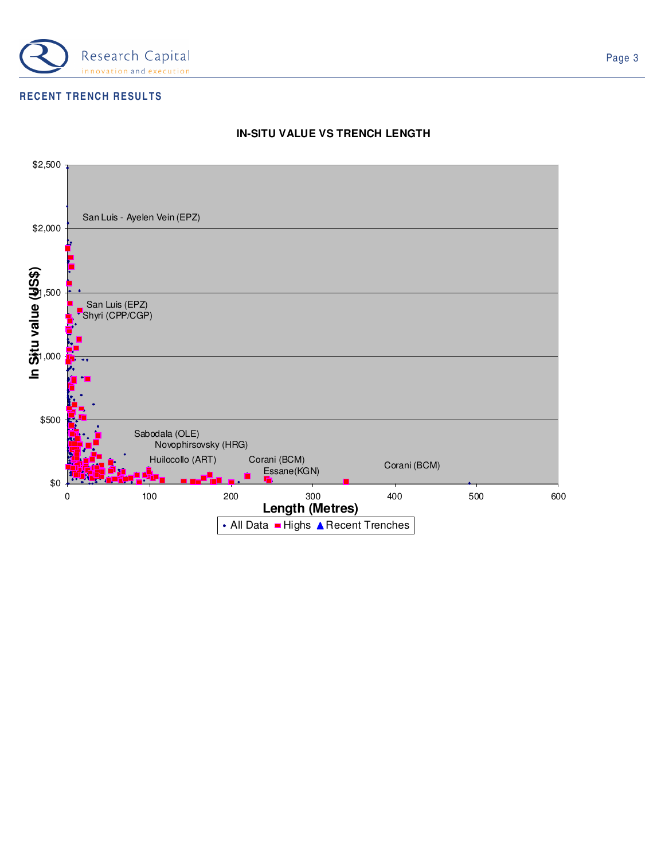

## **RECENT TRENCH RESULTS**



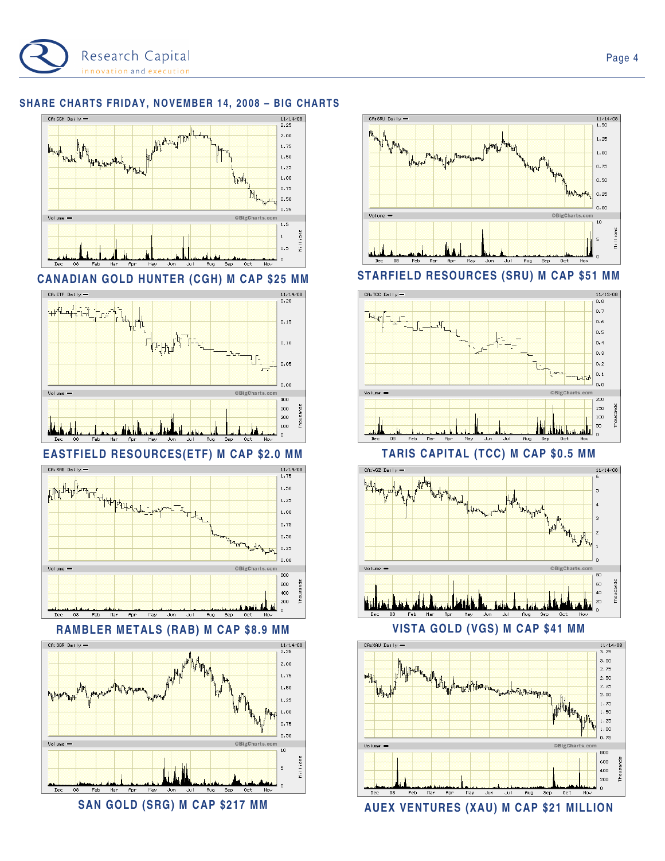

## **SHARE CHARTS FRIDAY, NOVEMBER 14, 2008 – BIG CHARTS**





## **EASTFIELD RESOURCES(ETF) M CAP \$2.0 MM TARIS CAPITAL (TCC) M CAP \$0.5 MM**







SAN GOLD (SRG) M CAP \$217 MM **AUEX VENTURES (XAU) M CAP \$21 MILLION** 



**CANADIAN GOLD HUNTER (CGH) M CAP \$25 MM STARFIELD RESOURCES (SRU) M CAP \$51 MM** 







CA:XAU Daily

**Daty** 

Volume -

Page 4

 $11/14/08$ <br>3.25  $3,00$ 

 $2.75$ 

 $2,50$  $2, 25$ 

 $2.00$ 

 $1.75$ 

 $1.50$  $1,25$ 

 $1,00$ 

 $0.75$ 

800 600

400

200

 $\alpha$ 

OBigCharts.

Aug